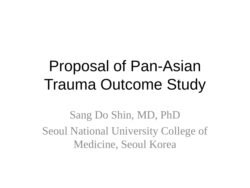## Proposal of Pan-Asian Trauma Outcome Study

Sang Do Shin, MD, PhD Seoul National University College of Medicine, Seoul Korea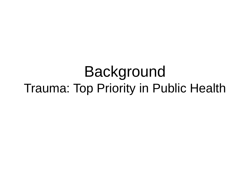#### Background Trauma: Top Priority in Public Health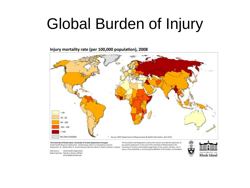### Global Burden of Injury

#### Injury mortality rate (per 100,000 population), 2008



The University of Rhode Island / University of Toronto Department of Surgery Global Health Research Collaborative - Epidemiology of Burns in Developing Countries Researchers: Dr. Shahla Yekta, Dr. Donna Schwartz-Barcott, Patrick H. Warren, Renee S. Lemieux

World Health Organization Data Source: Map Production: Patrick H. Warren, MPH[c] phw2106@columbia.edu

The boundaries and designations used on this map do not imply the expression of any opinion whatsoever on the part of The University of Rhode Island or the University of Toronto concerning the legal status of any country, territory, city or area or of its authorities, or concerning the definition of its frontiers or boundaries.

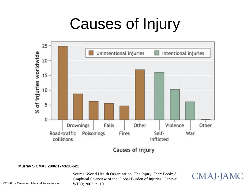## Causes of Injury



Causes of injury

#### **Murray S CMAJ 2006;174:620-621**

Source: World Health Organization. The Injury Chart Book: A Graphical Overview of the Global Burden of Injuries. Geneva: WHO; 2002. p. 19.

CMAJ JAMC

©2006 by Canadian Medical Association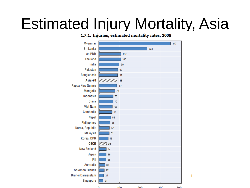## Estimated Injury Mortality, Asia

#### 1.7.1. Injuries, estimated mortality rates, 2008

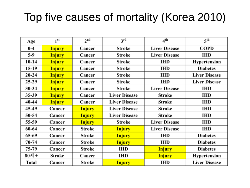#### Top five causes of mortality (Korea 2010)

| Age          | 1 <sup>st</sup> | 2 <sup>nd</sup> | 3 <sup>rd</sup>      | 4 <sup>th</sup>      | 5 <sup>th</sup>      |
|--------------|-----------------|-----------------|----------------------|----------------------|----------------------|
| $0-4$        | <b>Injury</b>   | Cancer          | Stroke               | <b>Liver Disease</b> | <b>COPD</b>          |
| $5-9$        | <b>Injury</b>   | Cancer          | Stroke               | <b>Liver Disease</b> | <b>IHD</b>           |
| $10 - 14$    | <b>Injury</b>   | Cancer          | <b>Stroke</b>        | <b>IHD</b>           | Hypertension         |
| 15-19        | <b>Injury</b>   | Cancer          | <b>Stroke</b>        | <b>IHD</b>           | <b>Diabetes</b>      |
| $20 - 24$    | <b>Injury</b>   | Cancer          | Stroke               | <b>IHD</b>           | <b>Liver Disease</b> |
| $25 - 29$    | <b>Injury</b>   | Cancer          | <b>Stroke</b>        | <b>IHD</b>           | <b>Liver Disease</b> |
| 30-34        | <b>Injury</b>   | Cancer          | <b>Stroke</b>        | <b>Liver Disease</b> | IHD                  |
| 35-39        | <b>Injury</b>   | Cancer          | <b>Liver Disease</b> | Stroke               | <b>IHD</b>           |
| 40-44        | <b>Injury</b>   | Cancer          | <b>Liver Disease</b> | Stroke               | <b>IHD</b>           |
| 45-49        | Cancer          | <b>Injury</b>   | <b>Liver Disease</b> | Stroke               | <b>IHD</b>           |
| 50-54        | Cancer          | <b>Injury</b>   | <b>Liver Disease</b> | Stroke               | IHD                  |
| 55-59        | Cancer          | <b>Injury</b>   | Stroke               | <b>Liver Disease</b> | IHD                  |
| 60-64        | Cancer          | Stroke          | <b>Injury</b>        | <b>Liver Disease</b> | IHD                  |
| 65-69        | Cancer          | Stroke          | <b>Injury</b>        | <b>IHD</b>           | <b>Diabetes</b>      |
| $70 - 74$    | Cancer          | Stroke          | <b>Injury</b>        | <b>IHD</b>           | <b>Diabetes</b>      |
| 75-79        | Cancer          | <b>Stroke</b>   | IHD                  | <b>Injury</b>        | <b>Diabetes</b>      |
| 80세+         | Stroke          | Cancer          | IHD                  | <b>Injury</b>        | Hypertension         |
| <b>Total</b> | Cancer          | Stroke          | <b>Injury</b>        | <b>IHD</b>           | <b>Liver Disease</b> |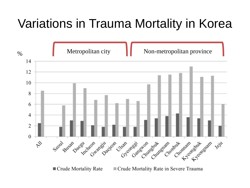#### Variations in Trauma Mortality in Korea

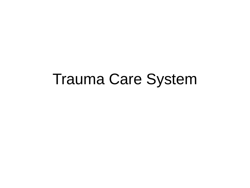#### Trauma Care System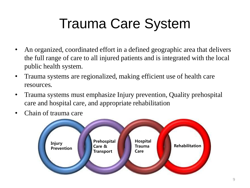## Trauma Care System

- An organized, coordinated effort in a defined geographic area that delivers the full range of care to all injured patients and is integrated with the local public health system.
- Trauma systems are regionalized, making efficient use of health care resources.
- Trauma systems must emphasize Injury prevention, Quality prehospital care and hospital care, and appropriate rehabilitation
- Chain of trauma care

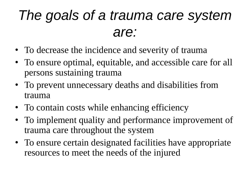#### *The goals of a trauma care system are:*

- To decrease the incidence and severity of trauma
- To ensure optimal, equitable, and accessible care for all persons sustaining trauma
- To prevent unnecessary deaths and disabilities from trauma
- To contain costs while enhancing efficiency
- To implement quality and performance improvement of trauma care throughout the system
- To ensure certain designated facilities have appropriate resources to meet the needs of the injured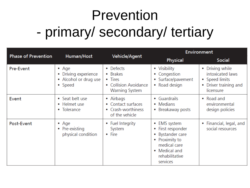### Prevention - primary/ secondary/ tertiary

|                            | Human/Host                                                                | Vehicle/Agent                                                                      | <b>Environment</b>                                                                                                                     |                                                                                           |  |
|----------------------------|---------------------------------------------------------------------------|------------------------------------------------------------------------------------|----------------------------------------------------------------------------------------------------------------------------------------|-------------------------------------------------------------------------------------------|--|
| <b>Phase of Prevention</b> |                                                                           |                                                                                    | Physical                                                                                                                               | <b>Social</b>                                                                             |  |
| Pre-Event                  | $\bullet$ Age<br>• Driving experience<br>• Alcohol or drug use<br>• Speed | • Defects<br>• Brakes<br>• Tires<br>• Collision Avoidance<br><b>Warning System</b> | • Visibility<br>• Congestion<br>• Surface/pavement<br>• Road design                                                                    | • Driving while<br>intoxicated laws<br>• Speed limits<br>Driver training and<br>licensure |  |
| Event                      | • Seat belt use<br>• Helmet use<br>• Tolerance                            | • Airbags<br>• Contact surfaces<br>• Crash-worthiness<br>of the vehicle            | • Guardrails<br>• Medians<br>• Breakaway posts                                                                                         | • Road and<br>environmental<br>design policies                                            |  |
| Post-Event                 | • Age<br>• Pre-existing<br>physical condition                             | • Fuel Integrity<br>System<br>$\bullet$ Fire                                       | • EMS system<br>• First responder<br>• Bystander care<br>• Proximity to<br>medical care<br>• Medical and<br>rehabilitative<br>services | • Financial, legal, and<br>social resources                                               |  |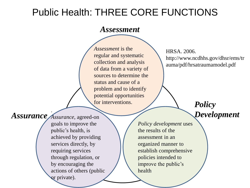#### Public Health: THREE CORE FUNCTIONS

#### *Assessment*

*Assessment* is the regular and systematic collection and analysis of data from a variety of sources to determine the status and cause of a problem and to identify potential opportunities for interventions.

HRSA. 2006. http://www.ncdhhs.gov/dhsr/ems/tr auma/pdf/hrsatraumamodel.pdf

*Policy* 

*Development*

. Assurance *Assurance*, agreed-on

goals to improve the public's health, is achieved by providing services directly, by requiring services through regulation, or by encouraging the actions of others (public or private).

*Policy development* uses the results of the assessment in an organized manner to establish comprehensive policies intended to improve the public's health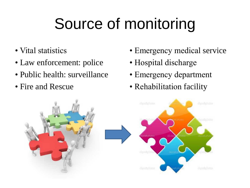# Source of monitoring

- Vital statistics
- Law enforcement: police
- Public health: surveillance
- Fire and Rescue
- Emergency medical service
- Hospital discharge
- Emergency department
- Rehabilitation facility

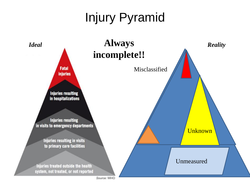#### Injury Pyramid



Source: WHO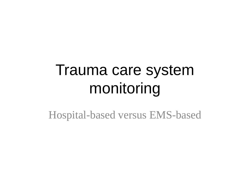### Trauma care system monitoring

Hospital-based versus EMS-based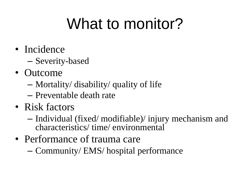## What to monitor?

- Incidence
	- Severity-based
- Outcome
	- Mortality/ disability/ quality of life
	- Preventable death rate
- Risk factors
	- Individual (fixed/ modifiable)/ injury mechanism and characteristics/ time/ environmental
- Performance of trauma care
	- Community/ EMS/ hospital performance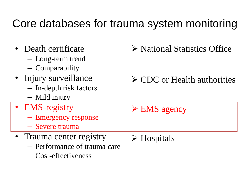#### Core databases for trauma system monitoring

- Death certificate
	- Long-term trend
	- Comparability
- Injury surveillance
	- In-depth risk factors
	- Mild injury
- EMS-registry
	- Emergency response
	- Severe trauma
- Trauma center registry
	- Performance of trauma care
	- Cost-effectiveness

National Statistics Office

- **≻ CDC or Health authorities**
- $\triangleright$  EMS agency
- **≻** Hospitals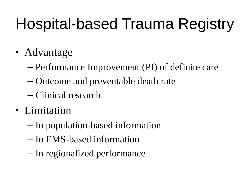# Hospital-based Trauma Registry

- Advantage
	- Performance Improvement (PI) of definite care
	- Outcome and preventable death rate
	- Clinical research
- Limitation
	- In population-based information
	- In EMS-based information
	- In regionalized performance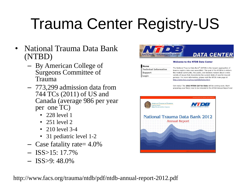# Trauma Center Registry-US

- National Trauma Data Bank (NTBD)
	- By American College of Surgeons Committee of Trauma
	- 773,299 admission data from 744 TCs (2011) of US and Canada (average 986 per year per one TC)
		- 228 level 1
		- 251 level 2
		- 210 level 3-4
		- 31 pediatric level 1-2
	- Case fatality rate= 4.0%
	- $-$  ISS $>15:17.7\%$
	- $-$  ISS $>9:48.0\%$

http://www.facs.org/trauma/ntdb/pdf/ntdb-annual-report-2012.pdf



#### **Welcome to the NTDB Data Center**

| Home                         |
|------------------------------|
| <b>Technical Information</b> |
| Support                      |
| Login                        |

The National Trauma Data Bank® (NTDB) is the largest aggregation of trauma registry data ever assembled. The goal of the NTDB is to inform the medical community, the public, and decision makers about a wide variety of issues that characterize the current state of care for injured persons. For more information, please visit the NTDB main page at http://www.facs.org/trauma/ntdb/index.html.

Get ready! The 2013 NTDB Call for Data will be coming soon. Start preparing your file(s) now to be included in the NTDB Annual Report and

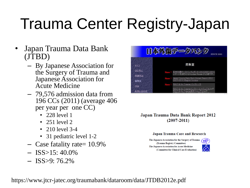## Trauma Center Registry-Japan

- Japan Trauma Data Bank (JTBD)
	- By Japanese Association for the Surgery of Trauma and Japanese Association for Acute Medicine
	- 79,576 admission data from 196 CCs (2011) (average 406 per year per one CC)
		- 228 level 1
		- 251 level 2
		- 210 level 3-4
		- 31 pediatric level 1-2
	- Case fatality rate= 10.9%
	- $-$  ISS $>15:40.0\%$
	- $-$  ISS $>9:76.2\%$



#### Japan Trauma Data Bank Report 2012  $(2007 - 2011)$

#### **Japan Trauma Care and Research**

The Japanese Association for the Surgery of Trauma (Trauma Registry Committee) The Japanese Association for Acute Medicine (Committee for Clinical Care Evaluation)



https://www.jtcr-jatec.org/traumabank/dataroom/data/JTDB2012e.pdf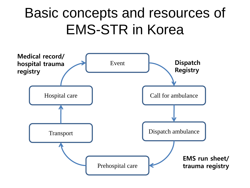#### Basic concepts and resources of EMS-STR in Korea

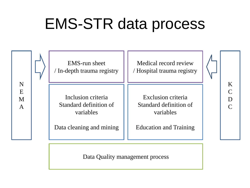## EMS-STR data process



Data Quality management process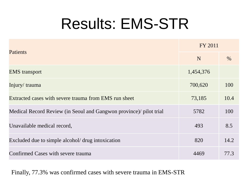### Results: EMS-STR

|                                                                    | FY 2011   |      |
|--------------------------------------------------------------------|-----------|------|
| <b>Patients</b>                                                    | N         | %    |
| <b>EMS</b> transport                                               | 1,454,376 |      |
| Injury/trauma                                                      | 700,620   | 100  |
| Extracted cases with severe trauma from EMS run sheet              | 73,185    | 10.4 |
| Medical Record Review (in Seoul and Gangwon province)/ pilot trial | 5782      | 100  |
| Unavailable medical record,                                        | 493       | 8.5  |
| Excluded due to simple alcohol/ drug intoxication                  | 820       | 14.2 |
| Confirmed Cases with severe trauma                                 | 4469      | 77.3 |

Finally, 77.3% was confirmed cases with severe trauma in EMS-STR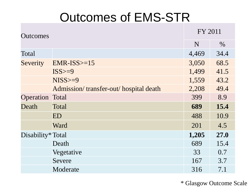#### Outcomes of EMS-STR

| <b>Outcomes</b>        |                                       | FY 2011 |             |
|------------------------|---------------------------------------|---------|-------------|
|                        |                                       | N       | $\%$        |
| Total                  |                                       | 4,469   | 34.4        |
| Severity               | $EMR-ISS>=15$                         | 3,050   | 68.5        |
|                        | $ISS>=9$                              | 1,499   | 41.5        |
|                        | $NISS>=9$                             | 1,559   | 43.2        |
|                        | Admission/transfer-out/hospital death | 2,208   | 49.4        |
| <b>Operation Total</b> |                                       | 399     | 8.9         |
| Death                  | Total                                 | 689     | 15.4        |
|                        | ED                                    | 488     | 10.9        |
|                        | Ward                                  | 201     | 4.5         |
| Disability*Total       |                                       | 1,205   | <b>27.0</b> |
|                        | Death                                 | 689     | 15.4        |
|                        | Vegetative                            | 33      | 0.7         |
|                        | Severe                                | 167     | 3.7         |
|                        | Moderate                              | 316     | 7.1         |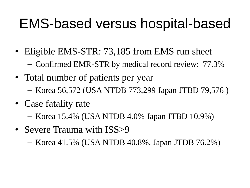#### EMS-based versus hospital-based

- Eligible EMS-STR: 73,185 from EMS run sheet
	- Confirmed EMR-STR by medical record review: 77.3%
- Total number of patients per year – Korea 56,572 (USA NTDB 773,299 Japan JTBD 79,576 )
- Case fatality rate
	- Korea 15.4% (USA NTDB 4.0% Japan JTBD 10.9%)
- Severe Trauma with ISS>9

– Korea 41.5% (USA NTDB 40.8%, Japan JTDB 76.2%)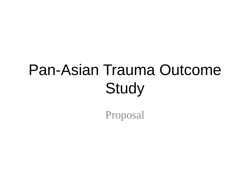## Pan-Asian Trauma Outcome **Study**

Proposal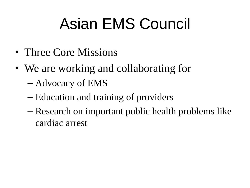## Asian EMS Council

- Three Core Missions
- We are working and collaborating for
	- Advocacy of EMS
	- Education and training of providers
	- Research on important public health problems like cardiac arrest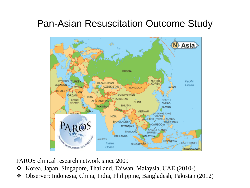#### Pan-Asian Resuscitation Outcome Study



PAROS clinical research network since 2009

- \* Korea, Japan, Singapore, Thailand, Taiwan, Malaysia, UAE (2010-)
- Observer: Indonesia, China, India, Philippine, Bangladesh, Pakistan (2012)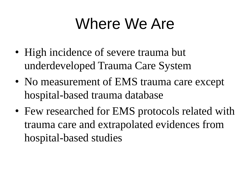## Where We Are

- High incidence of severe trauma but underdeveloped Trauma Care System
- No measurement of EMS trauma care except hospital-based trauma database
- Few researched for EMS protocols related with trauma care and extrapolated evidences from hospital-based studies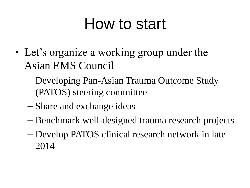### How to start

- Let's organize a working group under the Asian EMS Council
	- Developing Pan-Asian Trauma Outcome Study (PATOS) steering committee
	- Share and exchange ideas
	- Benchmark well-designed trauma research projects
	- Develop PATOS clinical research network in late 2014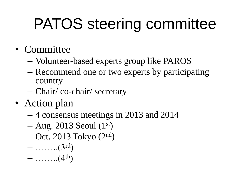# PATOS steering committee

- Committee
	- Volunteer-based experts group like PAROS
	- Recommend one or two experts by participating country
	- Chair/ co-chair/ secretary
- Action plan
	- 4 consensus meetings in 2013 and 2014
	- $-$  Aug. 2013 Seoul  $(1<sup>st</sup>)$
	- Oct. 2013 Tokyo (2nd)
	- $-$  ……...(3rd)
	- $-$  ……...(4<sup>th</sup>)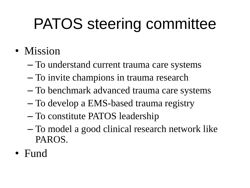# PATOS steering committee

- Mission
	- To understand current trauma care systems
	- To invite champions in trauma research
	- To benchmark advanced trauma care systems
	- To develop a EMS-based trauma registry
	- To constitute PATOS leadership
	- To model a good clinical research network like PAROS.
- Fund